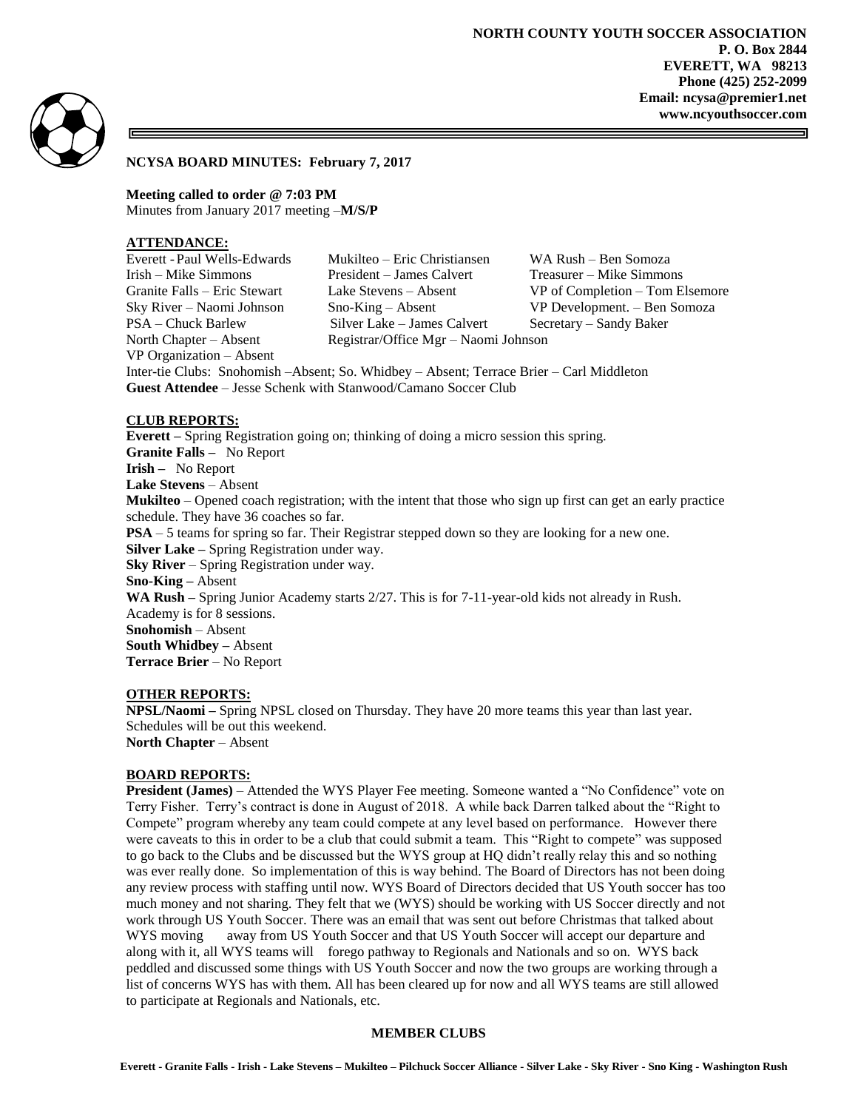

#### **NCYSA BOARD MINUTES: February 7, 2017**

**Meeting called to order @ 7:03 PM** Minutes from January 2017 meeting –**M/S/P**

## **ATTENDANCE:**

VP Organization – Absent

Everett -Paul Wells-Edwards Mukilteo – Eric Christiansen WA Rush – Ben Somoza Irish – Mike Simmons President – James Calvert Treasurer – Mike Simmons Granite Falls – Eric Stewart Lake Stevens – Absent VP of Completion – Tom Elsemore Sky River – Naomi Johnson Sno-King – Absent VP Development. – Ben Somoza PSA – Chuck Barlew Silver Lake – James Calvert Secretary – Sandy Baker North Chapter – Absent Registrar/Office Mgr – Naomi Johnson

Inter-tie Clubs: Snohomish –Absent; So. Whidbey – Absent; Terrace Brier – Carl Middleton **Guest Attendee** – Jesse Schenk with Stanwood/Camano Soccer Club

### **CLUB REPORTS:**

**Everett –** Spring Registration going on; thinking of doing a micro session this spring. **Granite Falls –** No Report **Irish –** No Report **Lake Stevens** – Absent **Mukilteo** – Opened coach registration; with the intent that those who sign up first can get an early practice schedule. They have 36 coaches so far. **PSA** – 5 teams for spring so far. Their Registrar stepped down so they are looking for a new one. **Silver Lake –** Spring Registration under way. **Sky River** – Spring Registration under way. **Sno-King –** Absent **WA Rush –** Spring Junior Academy starts 2/27. This is for 7-11-year-old kids not already in Rush. Academy is for 8 sessions. **Snohomish** – Absent **South Whidbey –** Absent **Terrace Brier** – No Report

#### **OTHER REPORTS:**

**NPSL/Naomi –** Spring NPSL closed on Thursday. They have 20 more teams this year than last year. Schedules will be out this weekend. **North Chapter** – Absent

#### **BOARD REPORTS:**

**President (James)** – Attended the WYS Player Fee meeting. Someone wanted a "No Confidence" vote on Terry Fisher. Terry's contract is done in August of 2018. A while back Darren talked about the "Right to Compete" program whereby any team could compete at any level based on performance. However there were caveats to this in order to be a club that could submit a team. This "Right to compete" was supposed to go back to the Clubs and be discussed but the WYS group at HQ didn't really relay this and so nothing was ever really done. So implementation of this is way behind. The Board of Directors has not been doing any review process with staffing until now. WYS Board of Directors decided that US Youth soccer has too much money and not sharing. They felt that we (WYS) should be working with US Soccer directly and not work through US Youth Soccer. There was an email that was sent out before Christmas that talked about WYS moving away from US Youth Soccer and that US Youth Soccer will accept our departure and along with it, all WYS teams will forego pathway to Regionals and Nationals and so on. WYS back peddled and discussed some things with US Youth Soccer and now the two groups are working through a list of concerns WYS has with them. All has been cleared up for now and all WYS teams are still allowed to participate at Regionals and Nationals, etc.

#### **MEMBER CLUBS**